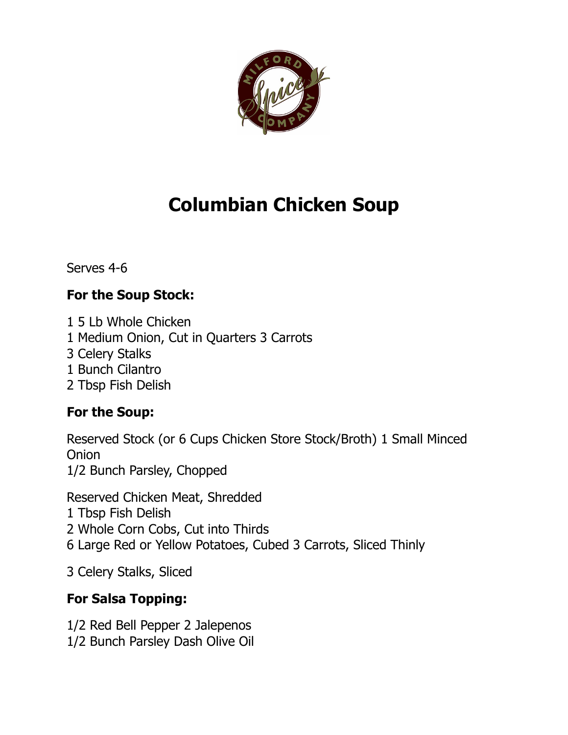

## **Columbian Chicken Soup**

Serves 4-6

## **For the Soup Stock:**

1 5 Lb Whole Chicken

- 1 Medium Onion, Cut in Quarters 3 Carrots
- 3 Celery Stalks
- 1 Bunch Cilantro
- 2 Tbsp Fish Delish

## **For the Soup:**

Reserved Stock (or 6 Cups Chicken Store Stock/Broth) 1 Small Minced **Onion** 1/2 Bunch Parsley, Chopped

Reserved Chicken Meat, Shredded 1 Tbsp Fish Delish 2 Whole Corn Cobs, Cut into Thirds 6 Large Red or Yellow Potatoes, Cubed 3 Carrots, Sliced Thinly

3 Celery Stalks, Sliced

## **For Salsa Topping:**

1/2 Red Bell Pepper 2 Jalepenos 1/2 Bunch Parsley Dash Olive Oil